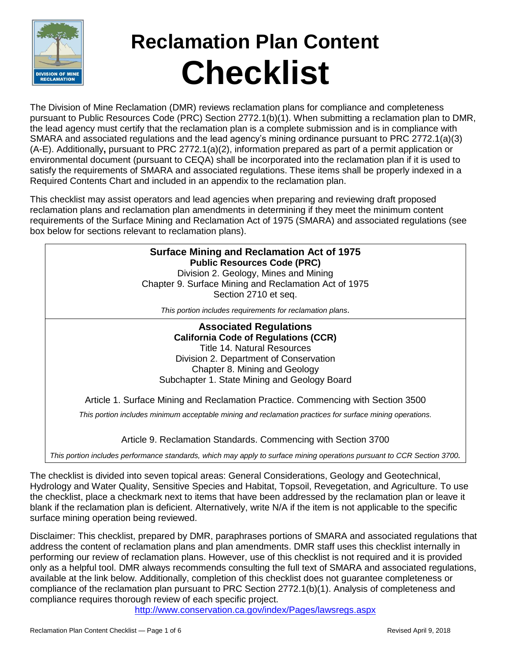

# **Reclamation Plan Content Checklist**

The Division of Mine Reclamation (DMR) reviews reclamation plans for compliance and completeness pursuant to Public Resources Code (PRC) Section 2772.1(b)(1). When submitting a reclamation plan to DMR, the lead agency must certify that the reclamation plan is a complete submission and is in compliance with SMARA and associated regulations and the lead agency's mining ordinance pursuant to PRC 2772.1(a)(3) (A-E). Additionally**,** pursuant to PRC 2772.1(a)(2), information prepared as part of a permit application or environmental document (pursuant to CEQA) shall be incorporated into the reclamation plan if it is used to satisfy the requirements of SMARA and associated regulations. These items shall be properly indexed in a Required Contents Chart and included in an appendix to the reclamation plan.

This checklist may assist operators and lead agencies when preparing and reviewing draft proposed reclamation plans and reclamation plan amendments in determining if they meet the minimum content requirements of the Surface Mining and Reclamation Act of 1975 (SMARA) and associated regulations (see box below for sections relevant to reclamation plans).

#### **Surface Mining and Reclamation Act of 1975 Public Resources Code (PRC)**

Division 2. Geology, Mines and Mining Chapter 9. Surface Mining and Reclamation Act of 1975 Section 2710 et seq.

*This portion includes requirements for reclamation plans.*

**Associated Regulations California Code of Regulations (CCR)**  Title 14. Natural Resources Division 2. Department of Conservation Chapter 8. Mining and Geology Subchapter 1. State Mining and Geology Board

Article 1. Surface Mining and Reclamation Practice. Commencing with Section 3500

*This portion includes minimum acceptable mining and reclamation practices for surface mining operations.*

Article 9. Reclamation Standards. Commencing with Section 3700

*This portion includes performance standards, which may apply to surface mining operations pursuant to CCR Section 3700.*

The checklist is divided into seven topical areas: General Considerations, Geology and Geotechnical, Hydrology and Water Quality, Sensitive Species and Habitat, Topsoil, Revegetation, and Agriculture. To use the checklist, place a checkmark next to items that have been addressed by the reclamation plan or leave it blank if the reclamation plan is deficient. Alternatively, write N/A if the item is not applicable to the specific surface mining operation being reviewed.

Disclaimer: This checklist, prepared by DMR, paraphrases portions of SMARA and associated regulations that address the content of reclamation plans and plan amendments. DMR staff uses this checklist internally in performing our review of reclamation plans. However, use of this checklist is not required and it is provided only as a helpful tool. DMR always recommends consulting the full text of SMARA and associated regulations, available at the link below. Additionally, completion of this checklist does not guarantee completeness or compliance of the reclamation plan pursuant to PRC Section 2772.1(b)(1). Analysis of completeness and compliance requires thorough review of each specific project.

<http://www.conservation.ca.gov/index/Pages/lawsregs.aspx>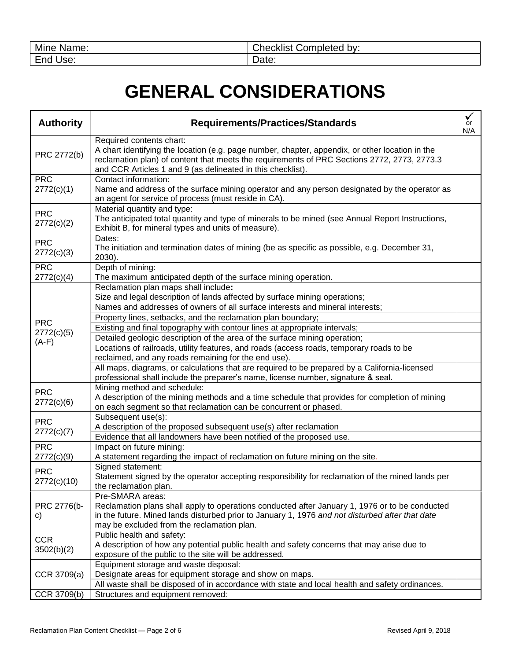| Mine         | Completed by: |
|--------------|---------------|
| Name:        | Checklist     |
| End'<br>Use: | Date:         |

#### **GENERAL CONSIDERATIONS**

| <b>Authority</b>          | <b>Requirements/Practices/Standards</b>                                                                                                                                                                                                                                                   | ✓<br>or<br>N/A |
|---------------------------|-------------------------------------------------------------------------------------------------------------------------------------------------------------------------------------------------------------------------------------------------------------------------------------------|----------------|
| PRC 2772(b)               | Required contents chart:<br>A chart identifying the location (e.g. page number, chapter, appendix, or other location in the<br>reclamation plan) of content that meets the requirements of PRC Sections 2772, 2773, 2773.3<br>and CCR Articles 1 and 9 (as delineated in this checklist). |                |
| <b>PRC</b><br>2772(c)(1)  | Contact information:<br>Name and address of the surface mining operator and any person designated by the operator as<br>an agent for service of process (must reside in CA).                                                                                                              |                |
| <b>PRC</b><br>2772(c)(2)  | Material quantity and type:<br>The anticipated total quantity and type of minerals to be mined (see Annual Report Instructions,<br>Exhibit B, for mineral types and units of measure).                                                                                                    |                |
| <b>PRC</b><br>2772(c)(3)  | Dates:<br>The initiation and termination dates of mining (be as specific as possible, e.g. December 31,<br>2030).                                                                                                                                                                         |                |
| <b>PRC</b><br>2772(c)(4)  | Depth of mining:<br>The maximum anticipated depth of the surface mining operation.                                                                                                                                                                                                        |                |
|                           | Reclamation plan maps shall include:<br>Size and legal description of lands affected by surface mining operations;                                                                                                                                                                        |                |
|                           | Names and addresses of owners of all surface interests and mineral interests;                                                                                                                                                                                                             |                |
| <b>PRC</b>                | Property lines, setbacks, and the reclamation plan boundary;                                                                                                                                                                                                                              |                |
| 2772(c)(5)                | Existing and final topography with contour lines at appropriate intervals;<br>Detailed geologic description of the area of the surface mining operation;                                                                                                                                  |                |
| $(A-F)$                   | Locations of railroads, utility features, and roads (access roads, temporary roads to be<br>reclaimed, and any roads remaining for the end use).                                                                                                                                          |                |
|                           | All maps, diagrams, or calculations that are required to be prepared by a California-licensed<br>professional shall include the preparer's name, license number, signature & seal.                                                                                                        |                |
| <b>PRC</b><br>2772(c)(6)  | Mining method and schedule:<br>A description of the mining methods and a time schedule that provides for completion of mining<br>on each segment so that reclamation can be concurrent or phased.                                                                                         |                |
| <b>PRC</b><br>2772(c)(7)  | Subsequent use(s):<br>A description of the proposed subsequent use(s) after reclamation                                                                                                                                                                                                   |                |
|                           | Evidence that all landowners have been notified of the proposed use.                                                                                                                                                                                                                      |                |
| <b>PRC</b><br>2772(c)(9)  | Impact on future mining:<br>A statement regarding the impact of reclamation on future mining on the site.                                                                                                                                                                                 |                |
| <b>PRC</b><br>2772(c)(10) | Signed statement:<br>Statement signed by the operator accepting responsibility for reclamation of the mined lands per<br>the reclamation plan.                                                                                                                                            |                |
| PRC 2776(b-<br>c)         | Pre-SMARA areas:<br>Reclamation plans shall apply to operations conducted after January 1, 1976 or to be conducted<br>in the future. Mined lands disturbed prior to January 1, 1976 and not disturbed after that date<br>may be excluded from the reclamation plan.                       |                |
| <b>CCR</b><br>3502(b)(2)  | Public health and safety:<br>A description of how any potential public health and safety concerns that may arise due to<br>exposure of the public to the site will be addressed.                                                                                                          |                |
| CCR 3709(a)               | Equipment storage and waste disposal:<br>Designate areas for equipment storage and show on maps.                                                                                                                                                                                          |                |
|                           | All waste shall be disposed of in accordance with state and local health and safety ordinances.                                                                                                                                                                                           |                |
| CCR 3709(b)               | Structures and equipment removed:                                                                                                                                                                                                                                                         |                |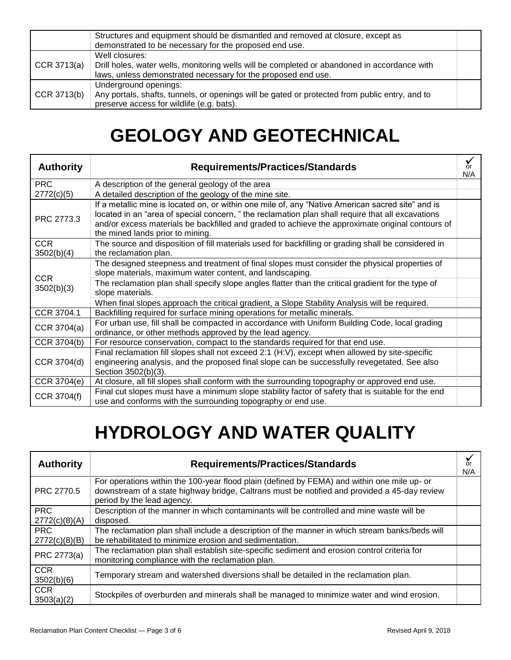|               | Structures and equipment should be dismantled and removed at closure, except as<br>demonstrated to be necessary for the proposed end use.                                       |  |
|---------------|---------------------------------------------------------------------------------------------------------------------------------------------------------------------------------|--|
| CCR $3713(a)$ | Well closures:<br>Drill holes, water wells, monitoring wells will be completed or abandoned in accordance with<br>laws, unless demonstrated necessary for the proposed end use. |  |
| CCR $3713(b)$ | Underground openings:<br>Any portals, shafts, tunnels, or openings will be gated or protected from public entry, and to<br>preserve access for wildlife (e.g. bats).            |  |

#### **GEOLOGY AND GEOTECHNICAL**

| <b>Authority</b>         | <b>Requirements/Practices/Standards</b>                                                                                                                                                                                                                                                                                                       | or<br>N/A |
|--------------------------|-----------------------------------------------------------------------------------------------------------------------------------------------------------------------------------------------------------------------------------------------------------------------------------------------------------------------------------------------|-----------|
| <b>PRC</b>               | A description of the general geology of the area                                                                                                                                                                                                                                                                                              |           |
| 2772(c)(5)               | A detailed description of the geology of the mine site.                                                                                                                                                                                                                                                                                       |           |
| PRC 2773.3               | If a metallic mine is located on, or within one mile of, any "Native American sacred site" and is<br>located in an "area of special concern," the reclamation plan shall require that all excavations<br>and/or excess materials be backfilled and graded to achieve the approximate original contours of<br>the mined lands prior to mining. |           |
| <b>CCR</b><br>3502(b)(4) | The source and disposition of fill materials used for backfilling or grading shall be considered in<br>the reclamation plan.                                                                                                                                                                                                                  |           |
| <b>CCR</b>               | The designed steepness and treatment of final slopes must consider the physical properties of<br>slope materials, maximum water content, and landscaping.                                                                                                                                                                                     |           |
| 3502(b)(3)               | The reclamation plan shall specify slope angles flatter than the critical gradient for the type of<br>slope materials.                                                                                                                                                                                                                        |           |
|                          | When final slopes approach the critical gradient, a Slope Stability Analysis will be required.                                                                                                                                                                                                                                                |           |
| CCR 3704.1               | Backfilling required for surface mining operations for metallic minerals.                                                                                                                                                                                                                                                                     |           |
| CCR 3704(a)              | For urban use, fill shall be compacted in accordance with Uniform Building Code, local grading<br>ordinance, or other methods approved by the lead agency.                                                                                                                                                                                    |           |
| CCR 3704(b)              | For resource conservation, compact to the standards required for that end use.                                                                                                                                                                                                                                                                |           |
| CCR 3704(d)              | Final reclamation fill slopes shall not exceed 2:1 (H:V), except when allowed by site-specific<br>engineering analysis, and the proposed final slope can be successfully revegetated. See also<br>Section 3502(b)(3).                                                                                                                         |           |
| CCR 3704(e)              | At closure, all fill slopes shall conform with the surrounding topography or approved end use.                                                                                                                                                                                                                                                |           |
| CCR 3704(f)              | Final cut slopes must have a minimum slope stability factor of safety that is suitable for the end<br>use and conforms with the surrounding topography or end use.                                                                                                                                                                            |           |

#### **HYDROLOGY AND WATER QUALITY**

| <b>Authority</b>            | <b>Requirements/Practices/Standards</b>                                                                                                                                                                                   | or<br>N/A |
|-----------------------------|---------------------------------------------------------------------------------------------------------------------------------------------------------------------------------------------------------------------------|-----------|
| PRC 2770.5                  | For operations within the 100-year flood plain (defined by FEMA) and within one mile up- or<br>downstream of a state highway bridge, Caltrans must be notified and provided a 45-day review<br>period by the lead agency. |           |
| <b>PRC</b>                  | Description of the manner in which contaminants will be controlled and mine waste will be                                                                                                                                 |           |
| 2772(c)(8)(A)               | disposed.                                                                                                                                                                                                                 |           |
| <b>PRC</b><br>2772(c)(8)(B) | The reclamation plan shall include a description of the manner in which stream banks/beds will<br>be rehabilitated to minimize erosion and sedimentation.                                                                 |           |
| PRC 2773(a)                 | The reclamation plan shall establish site-specific sediment and erosion control criteria for<br>monitoring compliance with the reclamation plan.                                                                          |           |
| <b>CCR</b><br>3502(b)(6)    | Temporary stream and watershed diversions shall be detailed in the reclamation plan.                                                                                                                                      |           |
| <b>CCR</b><br>3503(a)(2)    | Stockpiles of overburden and minerals shall be managed to minimize water and wind erosion.                                                                                                                                |           |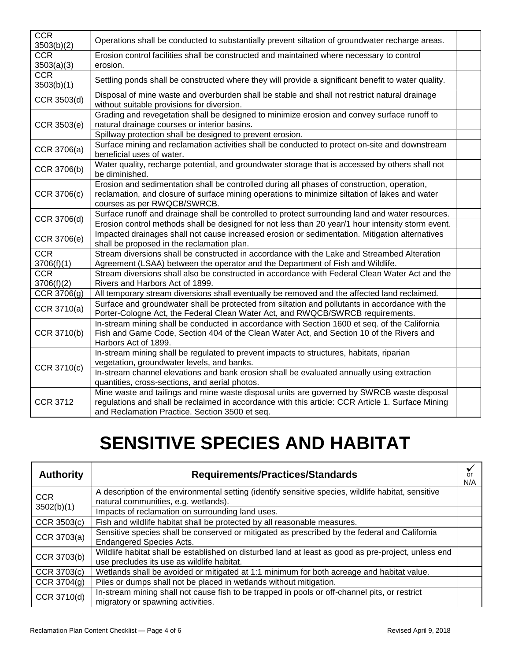| <b>CCR</b><br>3503(b)(2) | Operations shall be conducted to substantially prevent siltation of groundwater recharge areas.                                                                                                                                                   |  |
|--------------------------|---------------------------------------------------------------------------------------------------------------------------------------------------------------------------------------------------------------------------------------------------|--|
| <b>CCR</b><br>3503(a)(3) | Erosion control facilities shall be constructed and maintained where necessary to control<br>erosion.                                                                                                                                             |  |
| <b>CCR</b><br>3503(b)(1) | Settling ponds shall be constructed where they will provide a significant benefit to water quality.                                                                                                                                               |  |
| CCR 3503(d)              | Disposal of mine waste and overburden shall be stable and shall not restrict natural drainage<br>without suitable provisions for diversion.                                                                                                       |  |
| CCR 3503(e)              | Grading and revegetation shall be designed to minimize erosion and convey surface runoff to<br>natural drainage courses or interior basins.<br>Spillway protection shall be designed to prevent erosion.                                          |  |
| CCR 3706(a)              | Surface mining and reclamation activities shall be conducted to protect on-site and downstream<br>beneficial uses of water.                                                                                                                       |  |
| CCR 3706(b)              | Water quality, recharge potential, and groundwater storage that is accessed by others shall not<br>be diminished.                                                                                                                                 |  |
| CCR 3706(c)              | Erosion and sedimentation shall be controlled during all phases of construction, operation,<br>reclamation, and closure of surface mining operations to minimize siltation of lakes and water<br>courses as per RWQCB/SWRCB.                      |  |
| CCR 3706(d)              | Surface runoff and drainage shall be controlled to protect surrounding land and water resources.<br>Erosion control methods shall be designed for not less than 20 year/1 hour intensity storm event.                                             |  |
| CCR 3706(e)              | Impacted drainages shall not cause increased erosion or sedimentation. Mitigation alternatives<br>shall be proposed in the reclamation plan.                                                                                                      |  |
| <b>CCR</b><br>3706(f)(1) | Stream diversions shall be constructed in accordance with the Lake and Streambed Alteration<br>Agreement (LSAA) between the operator and the Department of Fish and Wildlife.                                                                     |  |
| <b>CCR</b><br>3706(f)(2) | Stream diversions shall also be constructed in accordance with Federal Clean Water Act and the<br>Rivers and Harbors Act of 1899.                                                                                                                 |  |
| CCR 3706(g)              | All temporary stream diversions shall eventually be removed and the affected land reclaimed.                                                                                                                                                      |  |
| CCR 3710(a)              | Surface and groundwater shall be protected from siltation and pollutants in accordance with the<br>Porter-Cologne Act, the Federal Clean Water Act, and RWQCB/SWRCB requirements.                                                                 |  |
| CCR 3710(b)              | In-stream mining shall be conducted in accordance with Section 1600 et seq. of the California<br>Fish and Game Code, Section 404 of the Clean Water Act, and Section 10 of the Rivers and<br>Harbors Act of 1899.                                 |  |
| CCR 3710(c)              | In-stream mining shall be regulated to prevent impacts to structures, habitats, riparian<br>vegetation, groundwater levels, and banks.                                                                                                            |  |
|                          | In-stream channel elevations and bank erosion shall be evaluated annually using extraction<br>quantities, cross-sections, and aerial photos.                                                                                                      |  |
| <b>CCR 3712</b>          | Mine waste and tailings and mine waste disposal units are governed by SWRCB waste disposal<br>regulations and shall be reclaimed in accordance with this article: CCR Article 1. Surface Mining<br>and Reclamation Practice. Section 3500 et seq. |  |

### **SENSITIVE SPECIES AND HABITAT**

| <b>Authority</b> | <b>Requirements/Practices/Standards</b>                                                                                                           | or<br>N/A |
|------------------|---------------------------------------------------------------------------------------------------------------------------------------------------|-----------|
| <b>CCR</b>       | A description of the environmental setting (identify sensitive species, wildlife habitat, sensitive<br>natural communities, e.g. wetlands).       |           |
| 3502(b)(1)       | Impacts of reclamation on surrounding land uses.                                                                                                  |           |
| CCR 3503(c)      | Fish and wildlife habitat shall be protected by all reasonable measures.                                                                          |           |
| CCR 3703(a)      | Sensitive species shall be conserved or mitigated as prescribed by the federal and California<br><b>Endangered Species Acts.</b>                  |           |
| CCR 3703(b)      | Wildlife habitat shall be established on disturbed land at least as good as pre-project, unless end<br>use precludes its use as wildlife habitat. |           |
| CCR 3703(c)      | Wetlands shall be avoided or mitigated at 1:1 minimum for both acreage and habitat value.                                                         |           |
| CCR 3704(g)      | Piles or dumps shall not be placed in wetlands without mitigation.                                                                                |           |
| CCR 3710(d)      | In-stream mining shall not cause fish to be trapped in pools or off-channel pits, or restrict<br>migratory or spawning activities.                |           |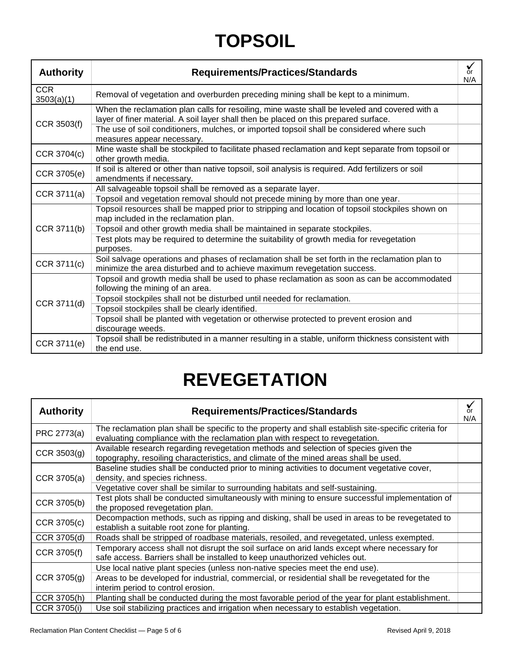## **TOPSOIL**

| <b>Authority</b>         | <b>Requirements/Practices/Standards</b>                                                                                                                                               | or<br>N/A |
|--------------------------|---------------------------------------------------------------------------------------------------------------------------------------------------------------------------------------|-----------|
| <b>CCR</b><br>3503(a)(1) | Removal of vegetation and overburden preceding mining shall be kept to a minimum.                                                                                                     |           |
| CCR 3503(f)              | When the reclamation plan calls for resoiling, mine waste shall be leveled and covered with a<br>layer of finer material. A soil layer shall then be placed on this prepared surface. |           |
|                          | The use of soil conditioners, mulches, or imported topsoil shall be considered where such<br>measures appear necessary.                                                               |           |
| CCR 3704(c)              | Mine waste shall be stockpiled to facilitate phased reclamation and kept separate from topsoil or<br>other growth media.                                                              |           |
| CCR 3705(e)              | If soil is altered or other than native topsoil, soil analysis is required. Add fertilizers or soil<br>amendments if necessary.                                                       |           |
| CCR 3711(a)              | All salvageable topsoil shall be removed as a separate layer.                                                                                                                         |           |
|                          | Topsoil and vegetation removal should not precede mining by more than one year.                                                                                                       |           |
|                          | Topsoil resources shall be mapped prior to stripping and location of topsoil stockpiles shown on<br>map included in the reclamation plan.                                             |           |
| CCR 3711(b)              | Topsoil and other growth media shall be maintained in separate stockpiles.                                                                                                            |           |
|                          | Test plots may be required to determine the suitability of growth media for revegetation<br>purposes.                                                                                 |           |
| CCR 3711(c)              | Soil salvage operations and phases of reclamation shall be set forth in the reclamation plan to<br>minimize the area disturbed and to achieve maximum revegetation success.           |           |
|                          | Topsoil and growth media shall be used to phase reclamation as soon as can be accommodated<br>following the mining of an area.                                                        |           |
|                          | Topsoil stockpiles shall not be disturbed until needed for reclamation.                                                                                                               |           |
| CCR 3711(d)              | Topsoil stockpiles shall be clearly identified.                                                                                                                                       |           |
|                          | Topsoil shall be planted with vegetation or otherwise protected to prevent erosion and<br>discourage weeds.                                                                           |           |
| CCR 3711(e)              | Topsoil shall be redistributed in a manner resulting in a stable, uniform thickness consistent with<br>the end use.                                                                   |           |

### **REVEGETATION**

| <b>Authority</b> | <b>Requirements/Practices/Standards</b>                                                                                                                                                | or<br>N/A |
|------------------|----------------------------------------------------------------------------------------------------------------------------------------------------------------------------------------|-----------|
| PRC 2773(a)      | The reclamation plan shall be specific to the property and shall establish site-specific criteria for<br>evaluating compliance with the reclamation plan with respect to revegetation. |           |
| CCR $3503(g)$    | Available research regarding revegetation methods and selection of species given the<br>topography, resoiling characteristics, and climate of the mined areas shall be used.           |           |
| CCR 3705(a)      | Baseline studies shall be conducted prior to mining activities to document vegetative cover,<br>density, and species richness.                                                         |           |
|                  | Vegetative cover shall be similar to surrounding habitats and self-sustaining.                                                                                                         |           |
| CCR 3705(b)      | Test plots shall be conducted simultaneously with mining to ensure successful implementation of<br>the proposed revegetation plan.                                                     |           |
| CCR 3705(c)      | Decompaction methods, such as ripping and disking, shall be used in areas to be revegetated to<br>establish a suitable root zone for planting.                                         |           |
| CCR 3705(d)      | Roads shall be stripped of roadbase materials, resoiled, and revegetated, unless exempted.                                                                                             |           |
| CCR 3705(f)      | Temporary access shall not disrupt the soil surface on arid lands except where necessary for<br>safe access. Barriers shall be installed to keep unauthorized vehicles out.            |           |
|                  | Use local native plant species (unless non-native species meet the end use).                                                                                                           |           |
| CCR $3705(g)$    | Areas to be developed for industrial, commercial, or residential shall be revegetated for the<br>interim period to control erosion.                                                    |           |
| CCR 3705(h)      | Planting shall be conducted during the most favorable period of the year for plant establishment.                                                                                      |           |
| CCR 3705(i)      | Use soil stabilizing practices and irrigation when necessary to establish vegetation.                                                                                                  |           |